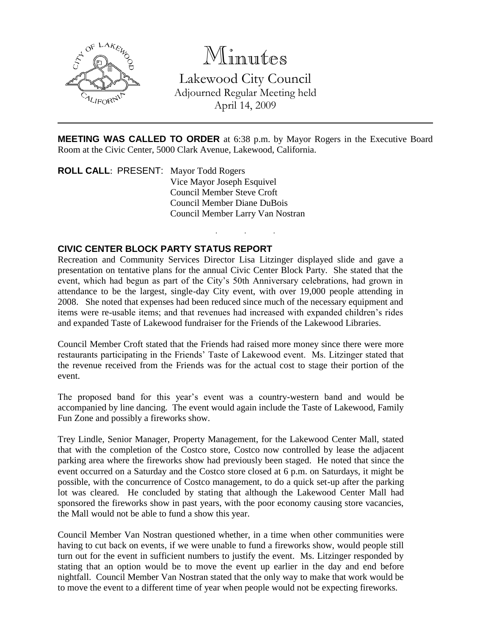

## Minutes

Lakewood City Council Adjourned Regular Meeting held April 14, 2009

**MEETING WAS CALLED TO ORDER** at 6:38 p.m. by Mayor Rogers in the Executive Board Room at the Civic Center, 5000 Clark Avenue, Lakewood, California.

. . .

**ROLL CALL**: PRESENT: Mayor Todd Rogers Vice Mayor Joseph Esquivel Council Member Steve Croft Council Member Diane DuBois Council Member Larry Van Nostran

## **CIVIC CENTER BLOCK PARTY STATUS REPORT**

Recreation and Community Services Director Lisa Litzinger displayed slide and gave a presentation on tentative plans for the annual Civic Center Block Party. She stated that the event, which had begun as part of the City's 50th Anniversary celebrations, had grown in attendance to be the largest, single-day City event, with over 19,000 people attending in 2008. She noted that expenses had been reduced since much of the necessary equipment and items were re-usable items; and that revenues had increased with expanded children's rides and expanded Taste of Lakewood fundraiser for the Friends of the Lakewood Libraries.

Council Member Croft stated that the Friends had raised more money since there were more restaurants participating in the Friends' Taste of Lakewood event. Ms. Litzinger stated that the revenue received from the Friends was for the actual cost to stage their portion of the event.

The proposed band for this year's event was a country-western band and would be accompanied by line dancing. The event would again include the Taste of Lakewood, Family Fun Zone and possibly a fireworks show.

Trey Lindle, Senior Manager, Property Management, for the Lakewood Center Mall, stated that with the completion of the Costco store, Costco now controlled by lease the adjacent parking area where the fireworks show had previously been staged. He noted that since the event occurred on a Saturday and the Costco store closed at 6 p.m. on Saturdays, it might be possible, with the concurrence of Costco management, to do a quick set-up after the parking lot was cleared. He concluded by stating that although the Lakewood Center Mall had sponsored the fireworks show in past years, with the poor economy causing store vacancies, the Mall would not be able to fund a show this year.

Council Member Van Nostran questioned whether, in a time when other communities were having to cut back on events, if we were unable to fund a fireworks show, would people still turn out for the event in sufficient numbers to justify the event. Ms. Litzinger responded by stating that an option would be to move the event up earlier in the day and end before nightfall. Council Member Van Nostran stated that the only way to make that work would be to move the event to a different time of year when people would not be expecting fireworks.